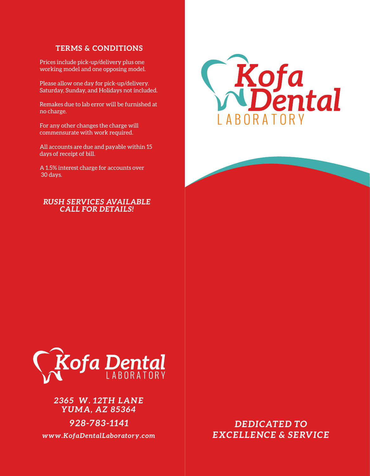## **TERMS & CONDITIONS**

Prices include pick-up/delivery plus one working model and one opposing model.

Please allow one day for pick-up/delivery. Saturday, Sunday, and Holidays not included.

Remakes due to lab error will be furnished at no charge.

For any other changes the charge will commensurate with work required.

All accounts are due and payable within 15 days of receipt of bill.

A 1.5% interest charge for accounts over 30 days.

## *RUSH SERVICES AVAILABLE CALL FOR DETAILS!*





*2365 W. 12TH LANE YUMA, AZ 85364*

*928-783-1141*

*DEDICATED TO www.KofaDentalLaboratory.com EXCELLENCE & SERVICE*